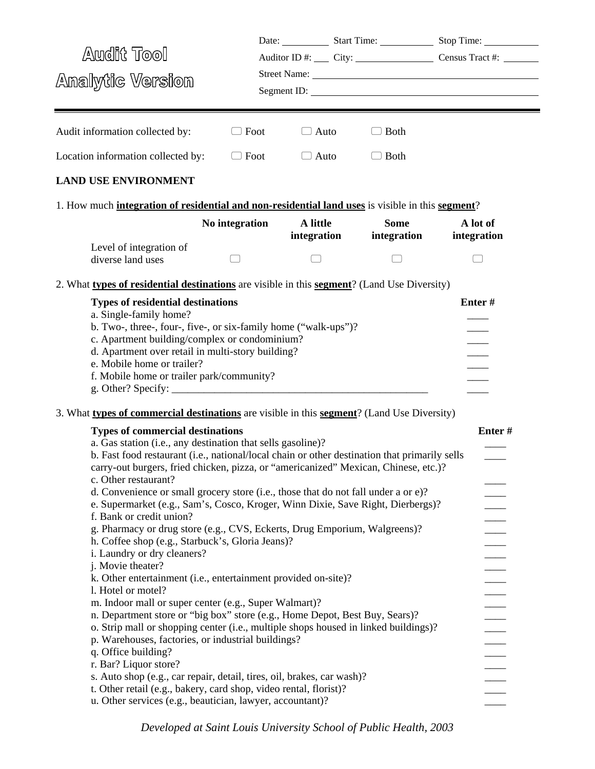|                                                                                                                                                                                                                                                                                                                                                                                                                                                                                                                                                                                                                                                                                                |                                                       |                         | Date: Start Time: Start Time: Stop Time:  |                         |
|------------------------------------------------------------------------------------------------------------------------------------------------------------------------------------------------------------------------------------------------------------------------------------------------------------------------------------------------------------------------------------------------------------------------------------------------------------------------------------------------------------------------------------------------------------------------------------------------------------------------------------------------------------------------------------------------|-------------------------------------------------------|-------------------------|-------------------------------------------|-------------------------|
| <b>Audit Tool</b>                                                                                                                                                                                                                                                                                                                                                                                                                                                                                                                                                                                                                                                                              |                                                       |                         | Auditor ID #: City: City: Census Tract #: |                         |
| Analytic Version                                                                                                                                                                                                                                                                                                                                                                                                                                                                                                                                                                                                                                                                               |                                                       |                         |                                           |                         |
|                                                                                                                                                                                                                                                                                                                                                                                                                                                                                                                                                                                                                                                                                                |                                                       |                         | Segment ID:                               |                         |
|                                                                                                                                                                                                                                                                                                                                                                                                                                                                                                                                                                                                                                                                                                |                                                       |                         |                                           |                         |
| Audit information collected by:                                                                                                                                                                                                                                                                                                                                                                                                                                                                                                                                                                                                                                                                | Foot                                                  | $\Box$ Auto             | <b>Both</b>                               |                         |
| Location information collected by:                                                                                                                                                                                                                                                                                                                                                                                                                                                                                                                                                                                                                                                             | $\Box$ Foot                                           | $\Box$ Auto             | $\Box$ Both                               |                         |
| <b>LAND USE ENVIRONMENT</b>                                                                                                                                                                                                                                                                                                                                                                                                                                                                                                                                                                                                                                                                    |                                                       |                         |                                           |                         |
| 1. How much <b>integration of residential and non-residential land uses</b> is visible in this <b>segment</b> ?                                                                                                                                                                                                                                                                                                                                                                                                                                                                                                                                                                                |                                                       |                         |                                           |                         |
|                                                                                                                                                                                                                                                                                                                                                                                                                                                                                                                                                                                                                                                                                                | No integration                                        | A little<br>integration | <b>Some</b><br>integration                | A lot of<br>integration |
| Level of integration of<br>diverse land uses                                                                                                                                                                                                                                                                                                                                                                                                                                                                                                                                                                                                                                                   |                                                       |                         |                                           |                         |
| 2. What types of residential destinations are visible in this segment? (Land Use Diversity)                                                                                                                                                                                                                                                                                                                                                                                                                                                                                                                                                                                                    |                                                       |                         |                                           |                         |
| <b>Types of residential destinations</b><br>a. Single-family home?<br>b. Two-, three-, four-, five-, or six-family home ("walk-ups")?<br>c. Apartment building/complex or condominium?<br>d. Apartment over retail in multi-story building?<br>e. Mobile home or trailer?<br>f. Mobile home or trailer park/community?<br>3. What types of commercial destinations are visible in this segment? (Land Use Diversity)<br><b>Types of commercial destinations</b><br>a. Gas station (i.e., any destination that sells gasoline)?                                                                                                                                                                 |                                                       |                         |                                           | Enter#                  |
| b. Fast food restaurant (i.e., national/local chain or other destination that primarily sells<br>carry-out burgers, fried chicken, pizza, or "americanized" Mexican, Chinese, etc.)?<br>c. Other restaurant?<br>d. Convenience or small grocery store (i.e., those that do not fall under a or e)?<br>e. Supermarket (e.g., Sam's, Cosco, Kroger, Winn Dixie, Save Right, Dierbergs)?<br>f. Bank or credit union?<br>g. Pharmacy or drug store (e.g., CVS, Eckerts, Drug Emporium, Walgreens)?<br>h. Coffee shop (e.g., Starbuck's, Gloria Jeans)?<br>i. Laundry or dry cleaners?<br>j. Movie theater?<br>k. Other entertainment (i.e., entertainment provided on-site)?<br>1. Hotel or motel? | m. Indoor mall or super center (e.g., Super Walmart)? |                         |                                           |                         |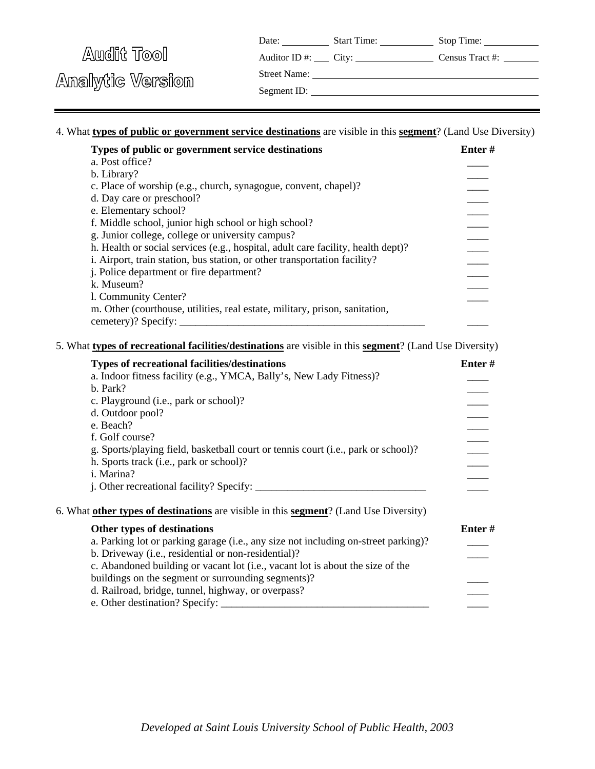| Date: | <b>Start Time:</b> | Stop Time: |
|-------|--------------------|------------|
|       |                    |            |

Auditor ID #: City: Census Tract #:

Street Name:

Analytic Version

Segment ID:

## 4. What **types of public or government service destinations** are visible in this **segment**? (Land Use Diversity)

| Types of public or government service destinations                               | Enter # |
|----------------------------------------------------------------------------------|---------|
| a. Post office?                                                                  |         |
| b. Library?                                                                      |         |
| c. Place of worship (e.g., church, synagogue, convent, chapel)?                  |         |
| d. Day care or preschool?                                                        |         |
| e. Elementary school?                                                            |         |
| f. Middle school, junior high school or high school?                             |         |
| g. Junior college, college or university campus?                                 |         |
| h. Health or social services (e.g., hospital, adult care facility, health dept)? |         |
| i. Airport, train station, bus station, or other transportation facility?        |         |
| <i>i.</i> Police department or fire department?                                  |         |
| k. Museum?                                                                       |         |
| 1. Community Center?                                                             |         |
| m. Other (courthouse, utilities, real estate, military, prison, sanitation,      |         |
| cemetery)? Specify:                                                              |         |

#### 5. What **types of recreational facilities/destinations** are visible in this **segment**? (Land Use Diversity)

| <b>Types of recreational facilities/destinations</b>                                  | Enter#    |
|---------------------------------------------------------------------------------------|-----------|
| a. Indoor fitness facility (e.g., YMCA, Bally's, New Lady Fitness)?                   |           |
| b. Park?                                                                              |           |
| c. Playground (i.e., park or school)?                                                 |           |
| d. Outdoor pool?                                                                      |           |
| e. Beach?                                                                             |           |
| f. Golf course?                                                                       |           |
| g. Sports/playing field, basketball court or tennis court (i.e., park or school)?     |           |
| h. Sports track (i.e., park or school)?                                               |           |
| i. Marina?                                                                            |           |
|                                                                                       |           |
| 6. What other types of destinations are visible in this segment? (Land Use Diversity) |           |
| Other types of destinations                                                           | Enter $#$ |
| a. Parking lot or parking garage (i.e., any size not including on-street parking)?    |           |
| b. Driveway (i.e., residential or non-residential)?                                   |           |
| c. Abandoned building or vacant lot (i.e., vacant lot is about the size of the        |           |
| buildings on the segment or surrounding segments)?                                    |           |
| d. Railroad, bridge, tunnel, highway, or overpass?                                    |           |
|                                                                                       |           |
|                                                                                       |           |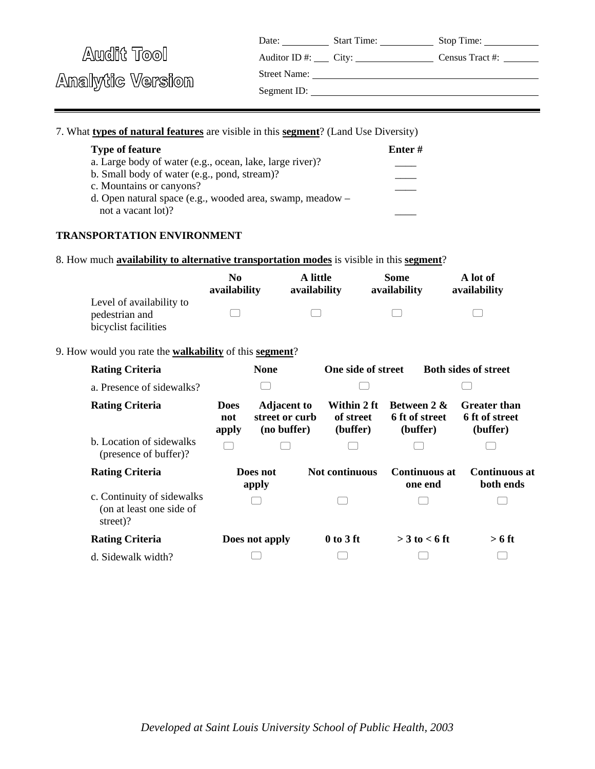| Date: | <b>Start Time:</b> | Stop Time: |
|-------|--------------------|------------|
|       |                    |            |

Auditor ID #: City: Census Tract #:

Street Name:

Analytic Version

Segment ID:

#### 7. What **types of natural features** are visible in this **segment**? (Land Use Diversity)

| <b>Type of feature</b>                                    | Enter# |
|-----------------------------------------------------------|--------|
| a. Large body of water (e.g., ocean, lake, large river)?  |        |
| b. Small body of water (e.g., pond, stream)?              |        |
| c. Mountains or canyons?                                  |        |
| d. Open natural space (e.g., wooded area, swamp, meadow – |        |
| not a vacant lot)?                                        |        |

### **TRANSPORTATION ENVIRONMENT**

8. How much **availability to alternative transportation modes** is visible in this **segment**?

|                          | No<br>availability | A little<br>availability | Some<br>availability | A lot of<br>availability |
|--------------------------|--------------------|--------------------------|----------------------|--------------------------|
| Level of availability to |                    |                          |                      |                          |
| pedestrian and           |                    |                          |                      |                          |
| bicyclist facilities     |                    |                          |                      |                          |

#### 9. How would you rate the **walkability** of this **segment**?

| <b>Rating Criteria</b>                                             |                             | <b>None</b>                                         | One side of street                   |                                                      | <b>Both sides of street</b>                       |  |
|--------------------------------------------------------------------|-----------------------------|-----------------------------------------------------|--------------------------------------|------------------------------------------------------|---------------------------------------------------|--|
| a. Presence of sidewalks?                                          |                             |                                                     |                                      |                                                      |                                                   |  |
| <b>Rating Criteria</b>                                             | <b>Does</b><br>not<br>apply | <b>Adjacent to</b><br>street or curb<br>(no buffer) | Within 2 ft<br>of street<br>(buffer) | <b>Between 2 &amp;</b><br>6 ft of street<br>(buffer) | <b>Greater than</b><br>6 ft of street<br>(buffer) |  |
| b. Location of sidewalks<br>(presence of buffer)?                  |                             |                                                     |                                      |                                                      |                                                   |  |
| <b>Rating Criteria</b>                                             |                             | Does not<br>apply                                   | <b>Not continuous</b>                | <b>Continuous at</b><br>one end                      | Continuous at<br>both ends                        |  |
| c. Continuity of sidewalks<br>(on at least one side of<br>street)? |                             |                                                     |                                      |                                                      |                                                   |  |
| <b>Rating Criteria</b>                                             |                             | Does not apply                                      | $0$ to 3 ft                          | $>$ 3 to $<$ 6 ft                                    | $> 6$ ft                                          |  |
| d. Sidewalk width?                                                 |                             |                                                     |                                      |                                                      |                                                   |  |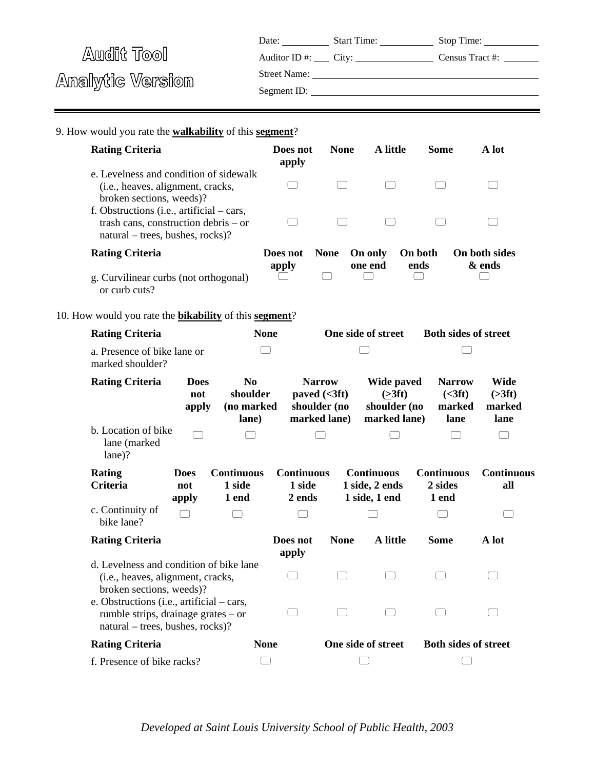| Date:            | <b>Start Time:</b> | Stop Time:      |
|------------------|--------------------|-----------------|
| Auditor ID $#$ : | City:              | Census Tract #: |

<u> 1980 - Johann Barn, mars an t-Amerikaansk politiker (</u>

Street Name:

Analytic Version

| Segment ID: |  |
|-------------|--|
|-------------|--|

9. How would you rate the **walkability** of this **segment**?

| <b>Rating Criteria</b>                                                                                                |                             |                                                   | Does not<br>apply        | <b>None</b>                                                      | A little                                               | <b>Some</b>       | A lot                                                                                   |  |
|-----------------------------------------------------------------------------------------------------------------------|-----------------------------|---------------------------------------------------|--------------------------|------------------------------------------------------------------|--------------------------------------------------------|-------------------|-----------------------------------------------------------------------------------------|--|
| e. Levelness and condition of sidewalk<br>(i.e., heaves, alignment, cracks,<br>broken sections, weeds)?               |                             |                                                   |                          |                                                                  |                                                        |                   |                                                                                         |  |
| f. Obstructions (i.e., artificial – cars,<br>trash cans, construction debris – or<br>natural – trees, bushes, rocks)? |                             |                                                   |                          |                                                                  |                                                        |                   |                                                                                         |  |
| <b>Rating Criteria</b>                                                                                                |                             |                                                   | Does not                 | <b>None</b>                                                      | On only                                                | On both           | On both sides                                                                           |  |
| g. Curvilinear curbs (not orthogonal)<br>or curb cuts?                                                                |                             |                                                   | apply                    | $\Box$                                                           | one end                                                | ends              | & ends                                                                                  |  |
| 10. How would you rate the <b>bikability</b> of this <b>segment</b> ?                                                 |                             |                                                   |                          |                                                                  |                                                        |                   |                                                                                         |  |
| <b>Rating Criteria</b>                                                                                                |                             |                                                   | <b>None</b>              |                                                                  | One side of street                                     |                   | <b>Both sides of street</b>                                                             |  |
| a. Presence of bike lane or<br>marked shoulder?                                                                       |                             |                                                   |                          |                                                                  |                                                        |                   |                                                                                         |  |
| <b>Rating Criteria</b>                                                                                                | <b>Does</b><br>not<br>apply | N <sub>0</sub><br>shoulder<br>(no marked<br>lane) |                          | <b>Narrow</b><br>paved $(<3 ft)$<br>shoulder (no<br>marked lane) | Wide paved<br>( >3 ft)<br>shoulder (no<br>marked lane) |                   | Wide<br><b>Narrow</b><br>( <b>3</b> ft)<br>( >3 ft)<br>marked<br>marked<br>lane<br>lane |  |
| b. Location of bike<br>lane (marked<br>lane)?                                                                         |                             |                                                   |                          |                                                                  |                                                        |                   |                                                                                         |  |
| <b>Rating</b>                                                                                                         | <b>Does</b>                 | <b>Continuous</b>                                 | <b>Continuous</b>        |                                                                  | <b>Continuous</b>                                      | <b>Continuous</b> | <b>Continuous</b>                                                                       |  |
| <b>Criteria</b>                                                                                                       | not<br>apply                | 1 side<br>1 end                                   | 1 side<br>2 ends         |                                                                  | 1 side, 2 ends<br>1 side, 1 end                        | 2 sides<br>1 end  | all                                                                                     |  |
| c. Continuity of<br>bike lane?                                                                                        |                             |                                                   |                          |                                                                  |                                                        |                   |                                                                                         |  |
| <b>Rating Criteria</b>                                                                                                |                             |                                                   | Does not<br>apply        | <b>None</b>                                                      | A little                                               | <b>Some</b>       | A lot                                                                                   |  |
| d. Levelness and condition of bike lane<br>(i.e., heaves, alignment, cracks,<br>broken sections, weeds)?              |                             |                                                   | $\overline{\phantom{0}}$ | $\overline{\phantom{0}}$                                         | $\overline{\phantom{0}}$                               |                   |                                                                                         |  |
| e. Obstructions (i.e., artificial – cars,<br>rumble strips, drainage grates – or<br>natural – trees, bushes, rocks)?  |                             |                                                   |                          |                                                                  |                                                        |                   |                                                                                         |  |
| <b>Rating Criteria</b>                                                                                                |                             |                                                   | <b>None</b>              |                                                                  | One side of street                                     |                   | <b>Both sides of street</b>                                                             |  |
| f. Presence of bike racks?                                                                                            |                             |                                                   |                          |                                                                  |                                                        |                   |                                                                                         |  |

*Developed at Saint Louis University School of Public Health, 2003*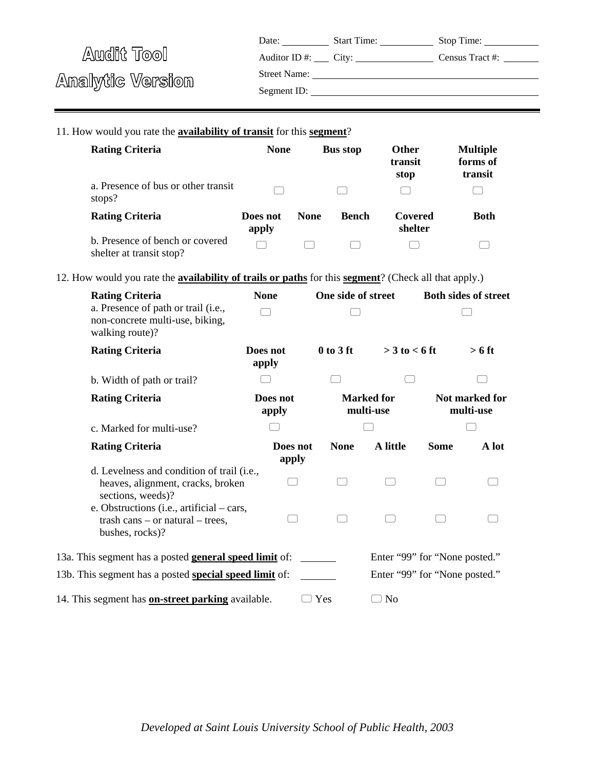|                  | Date:               | <b>Start Time:</b>                  | Stop Time:      |
|------------------|---------------------|-------------------------------------|-----------------|
| Audit Tool       |                     | Auditor ID #: $\qquad \qquad$ City: | Census Tract #: |
|                  | <b>Street Name:</b> |                                     |                 |
| Analytic Version | Segment ID:         |                                     |                 |
|                  |                     |                                     |                 |

11. How would you rate the **availability of transit** for this **segment**?

| <b>Rating Criteria</b>                                      | <b>None</b>       |             | <b>Bus stop</b> | <b>Other</b><br>transit<br>stop | <b>Multiple</b><br>forms of<br>transit |
|-------------------------------------------------------------|-------------------|-------------|-----------------|---------------------------------|----------------------------------------|
| a. Presence of bus or other transit<br>stops?               |                   |             |                 |                                 |                                        |
| <b>Rating Criteria</b>                                      | Does not<br>apply | <b>None</b> | <b>Bench</b>    | Covered<br>shelter              | <b>Both</b>                            |
| b. Presence of bench or covered<br>shelter at transit stop? |                   |             |                 |                                 |                                        |

12. How would you rate the **availability of trails or paths** for this **segment**? (Check all that apply.)

| <b>Rating Criteria</b><br>a. Presence of path or trail (i.e.,                                          | <b>None</b>       | One side of street |                                |                               | <b>Both sides of street</b> |
|--------------------------------------------------------------------------------------------------------|-------------------|--------------------|--------------------------------|-------------------------------|-----------------------------|
| non-concrete multi-use, biking,<br>walking route)?                                                     |                   |                    |                                |                               |                             |
| <b>Rating Criteria</b>                                                                                 | Does not<br>apply | $0$ to $3$ ft      | $>$ 3 to $<$ 6 ft              |                               | $> 6$ ft                    |
| b. Width of path or trail?                                                                             |                   |                    |                                |                               |                             |
| <b>Rating Criteria</b>                                                                                 | Does not<br>apply |                    | <b>Marked for</b><br>multi-use |                               | Not marked for<br>multi-use |
| c. Marked for multi-use?                                                                               |                   |                    |                                |                               |                             |
| <b>Rating Criteria</b>                                                                                 | Does not<br>apply | <b>None</b>        | A little                       | Some                          | A lot                       |
| d. Levelness and condition of trail (i.e.,<br>heaves, alignment, cracks, broken<br>sections, weeds)?   |                   |                    |                                |                               |                             |
| e. Obstructions (i.e., artificial $-$ cars,<br>trash cans $-$ or natural $-$ trees,<br>bushes, rocks)? |                   |                    |                                |                               |                             |
| 13a. This segment has a posted general speed limit of:                                                 |                   |                    |                                | Enter "99" for "None posted." |                             |
| 13b. This segment has a posted special speed limit of:                                                 |                   |                    |                                | Enter "99" for "None posted." |                             |
| 14. This segment has <b>on-street parking</b> available.                                               |                   | Yes                | N <sub>0</sub>                 |                               |                             |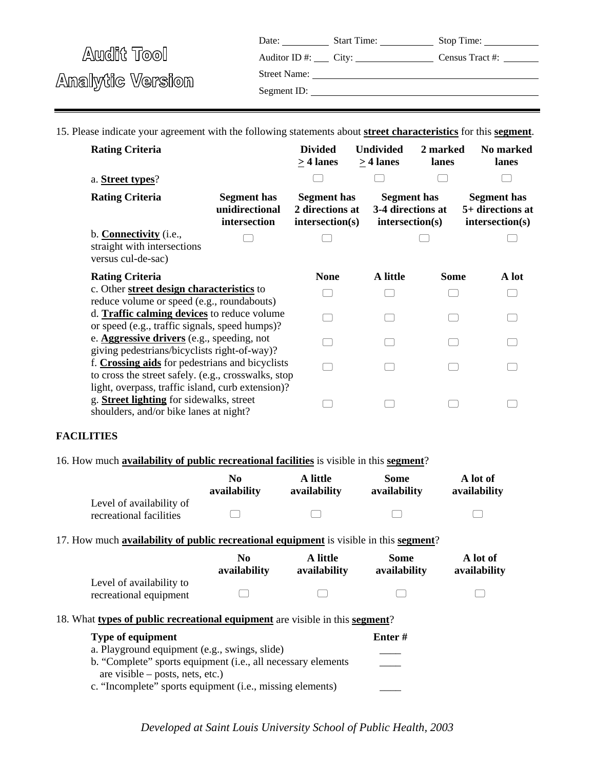Date: Start Time: Stop Time: Auditor ID #: City: Census Tract #:

Audit Tool Analytic Version

| <b>Street Name:</b> |
|---------------------|
|---------------------|

Segment ID:

15. Please indicate your agreement with the following statements about **street characteristics** for this **segment**.

| <b>Rating Criteria</b>                                                                                                                         |                                                      | <b>Divided</b><br>$> 4$ lanes                            | <b>Undivided</b><br>> 4 lanes         | 2 marked<br>lanes | No marked<br>lanes                                        |
|------------------------------------------------------------------------------------------------------------------------------------------------|------------------------------------------------------|----------------------------------------------------------|---------------------------------------|-------------------|-----------------------------------------------------------|
| a. Street types?                                                                                                                               |                                                      |                                                          |                                       |                   |                                                           |
| <b>Rating Criteria</b>                                                                                                                         | <b>Segment has</b><br>unidirectional<br>intersection | <b>Segment</b> has<br>2 directions at<br>intersection(s) | <b>Segment has</b><br>intersection(s) | 3-4 directions at | <b>Segment has</b><br>5+ directions at<br>intersection(s) |
| b. <b>Connectivity</b> (i.e.,<br>straight with intersections<br>versus cul-de-sac)                                                             |                                                      |                                                          |                                       |                   |                                                           |
| <b>Rating Criteria</b>                                                                                                                         |                                                      | <b>None</b>                                              | A little                              | Some              | A lot                                                     |
| c. Other street design characteristics to<br>reduce volume or speed (e.g., roundabouts)                                                        |                                                      |                                                          |                                       |                   |                                                           |
| d. Traffic calming devices to reduce volume<br>or speed (e.g., traffic signals, speed humps)?                                                  |                                                      |                                                          |                                       |                   |                                                           |
| e. <b>Aggressive drivers</b> (e.g., speeding, not<br>giving pedestrians/bicyclists right-of-way)?                                              |                                                      |                                                          |                                       |                   |                                                           |
| f. Crossing aids for pedestrians and bicyclists<br>to cross the street safely. (e.g., crosswalks, stop                                         |                                                      |                                                          |                                       |                   |                                                           |
| light, overpass, traffic island, curb extension)?<br>g. <b>Street lighting</b> for sidewalks, street<br>shoulders, and/or bike lanes at night? |                                                      |                                                          |                                       |                   |                                                           |

#### **FACILITIES**

16. How much **availability of public recreational facilities** is visible in this **segment**?

|                                                                                        | N <sub>0</sub><br>availability | A little<br>availability | <b>Some</b><br>availability | A lot of<br>availability |
|----------------------------------------------------------------------------------------|--------------------------------|--------------------------|-----------------------------|--------------------------|
| Level of availability of<br>recreational facilities                                    |                                |                          |                             |                          |
| 17. How much availability of public recreational equipment is visible in this segment? |                                |                          |                             |                          |
|                                                                                        | N <sub>0</sub><br>availability | A little<br>availability | Some<br>availability        | A lot of<br>availability |
| Level of availability to<br>recreational equipment                                     |                                |                          |                             |                          |
| 18. What types of public recreational equipment are visible in this segment?           |                                |                          |                             |                          |
| <b>Type of equipment</b>                                                               |                                |                          | Enter#                      |                          |
| a. Playground equipment (e.g., swings, slide)                                          |                                |                          |                             |                          |
| b. "Complete" sports equipment (i.e., all necessary elements                           |                                |                          |                             |                          |

c. "Incomplete" sports equipment (i.e., missing elements)

are visible – posts, nets, etc.)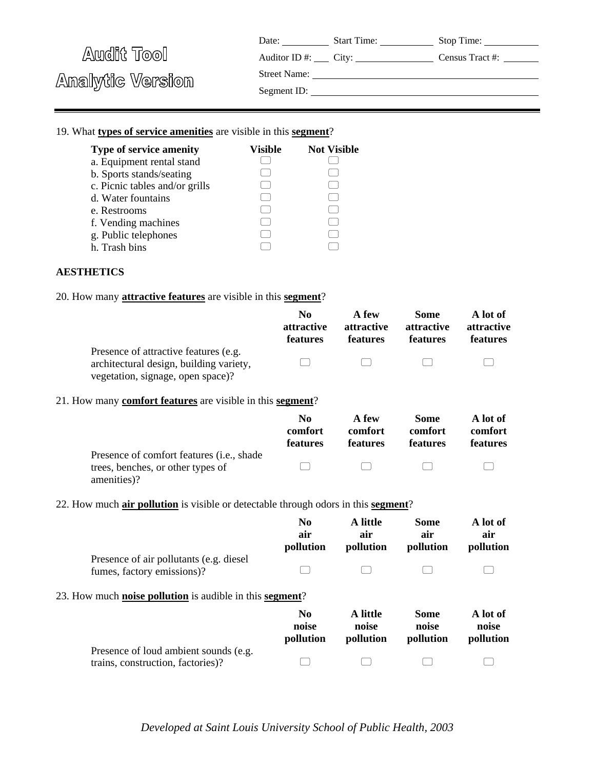| Date: | <b>Start Time:</b> | Stop Time: |
|-------|--------------------|------------|
|-------|--------------------|------------|

Auditor ID #: City: Census Tract #:

Street Name:

Analytic Version

Segment ID:

## 19. What **types of service amenities** are visible in this **segment**?

| <b>Type of service amenity</b> | Visible | <b>Not Visible</b> |
|--------------------------------|---------|--------------------|
| a. Equipment rental stand      |         |                    |
| b. Sports stands/seating       |         |                    |
| c. Picnic tables and/or grills |         |                    |
| d. Water fountains             |         |                    |
| e. Restrooms                   |         |                    |
| f. Vending machines            |         |                    |
| g. Public telephones           |         |                    |
| h. Trash bins                  |         |                    |

#### **AESTHETICS**

20. How many **attractive features** are visible in this **segment**?

|                                                                                                                       | No.             | A few           | Some            | A lot of          |
|-----------------------------------------------------------------------------------------------------------------------|-----------------|-----------------|-----------------|-------------------|
|                                                                                                                       | attractive      | attractive      | attractive      | <b>attractive</b> |
|                                                                                                                       | <b>features</b> | <b>features</b> | <b>features</b> | <b>features</b>   |
| Presence of attractive features (e.g.<br>architectural design, building variety,<br>vegetation, signage, open space)? | $\Box$          | $\Box$          | $\Box$          |                   |

## 21. How many **comfort features** are visible in this **segment**?

|                                                    | N <sub>0</sub><br>comfort<br>features | A few<br>comfort<br><b>features</b> | Some<br>comfort<br><b>features</b> | A lot of<br>comfort<br><b>features</b> |
|----------------------------------------------------|---------------------------------------|-------------------------------------|------------------------------------|----------------------------------------|
| Presence of comfort features ( <i>i.e.</i> , shade |                                       |                                     |                                    |                                        |
| trees, benches, or other types of                  | $\mathbb{R}^n$                        | $\Box$                              |                                    |                                        |
| amenities)?                                        |                                       |                                     |                                    |                                        |

#### 22. How much **air pollution** is visible or detectable through odors in this **segment**?

|                                                                            | No<br>air<br>pollution               | A little<br>air<br>pollution   | Some<br>air<br>pollution          | A lot of<br>air<br>pollution   |
|----------------------------------------------------------------------------|--------------------------------------|--------------------------------|-----------------------------------|--------------------------------|
| Presence of air pollutants (e.g. diesel)<br>fumes, factory emissions)?     |                                      |                                |                                   |                                |
| 23. How much <b>noise pollution</b> is audible in this <b>segment</b> ?    |                                      |                                |                                   |                                |
|                                                                            | N <sub>0</sub><br>noise<br>pollution | A little<br>noise<br>pollution | <b>Some</b><br>noise<br>pollution | A lot of<br>noise<br>pollution |
| Presence of loud ambient sounds (e.g.<br>trains, construction, factories)? |                                      |                                |                                   |                                |

*Developed at Saint Louis University School of Public Health, 2003*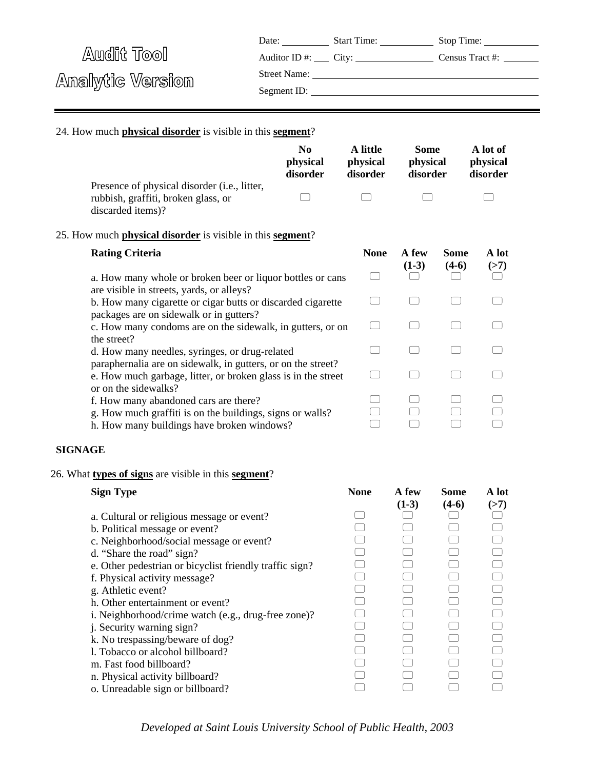|                  | Date:        | <b>Start Time:</b> | Stop Time:      |
|------------------|--------------|--------------------|-----------------|
| Audit Tool       |              |                    | Census Tract #: |
|                  | Street Name: |                    |                 |
| Analytic Version | Segment ID:  |                    |                 |
|                  |              |                    |                 |

# 24. How much **physical disorder** is visible in this **segment**?

|                                                                                                                                                                                                                                                                                                                                                                                                                                                                                                                                                                           | N <sub>0</sub><br>physical<br>disorder | A little<br>physical<br>disorder | <b>Some</b><br>physical<br>disorder |                        | A lot of<br>physical<br>disorder |  |
|---------------------------------------------------------------------------------------------------------------------------------------------------------------------------------------------------------------------------------------------------------------------------------------------------------------------------------------------------------------------------------------------------------------------------------------------------------------------------------------------------------------------------------------------------------------------------|----------------------------------------|----------------------------------|-------------------------------------|------------------------|----------------------------------|--|
| Presence of physical disorder (i.e., litter,<br>rubbish, graffiti, broken glass, or<br>discarded items)?                                                                                                                                                                                                                                                                                                                                                                                                                                                                  |                                        |                                  |                                     |                        |                                  |  |
| 25. How much <b>physical disorder</b> is visible in this <b>segment</b> ?                                                                                                                                                                                                                                                                                                                                                                                                                                                                                                 |                                        |                                  |                                     |                        |                                  |  |
| <b>Rating Criteria</b>                                                                                                                                                                                                                                                                                                                                                                                                                                                                                                                                                    |                                        | <b>None</b>                      | A few<br>$(1-3)$                    | <b>Some</b><br>$(4-6)$ | A lot<br>(>7)                    |  |
| a. How many whole or broken beer or liquor bottles or cans<br>are visible in streets, yards, or alleys?                                                                                                                                                                                                                                                                                                                                                                                                                                                                   |                                        |                                  |                                     |                        |                                  |  |
| b. How many cigarette or cigar butts or discarded cigarette<br>packages are on sidewalk or in gutters?                                                                                                                                                                                                                                                                                                                                                                                                                                                                    |                                        |                                  |                                     |                        |                                  |  |
| c. How many condoms are on the sidewalk, in gutters, or on<br>the street?                                                                                                                                                                                                                                                                                                                                                                                                                                                                                                 |                                        | $\Box$                           | ۰                                   |                        |                                  |  |
| d. How many needles, syringes, or drug-related<br>paraphernalia are on sidewalk, in gutters, or on the street?                                                                                                                                                                                                                                                                                                                                                                                                                                                            |                                        | $\Box$                           |                                     |                        |                                  |  |
| e. How much garbage, litter, or broken glass is in the street<br>or on the sidewalks?                                                                                                                                                                                                                                                                                                                                                                                                                                                                                     |                                        | $\Box$                           |                                     |                        |                                  |  |
| f. How many abandoned cars are there?<br>g. How much graffiti is on the buildings, signs or walls?<br>h. How many buildings have broken windows?                                                                                                                                                                                                                                                                                                                                                                                                                          |                                        |                                  |                                     |                        |                                  |  |
| <b>SIGNAGE</b>                                                                                                                                                                                                                                                                                                                                                                                                                                                                                                                                                            |                                        |                                  |                                     |                        |                                  |  |
| 26. What types of signs are visible in this segment?                                                                                                                                                                                                                                                                                                                                                                                                                                                                                                                      |                                        |                                  |                                     |                        |                                  |  |
| <b>Sign Type</b>                                                                                                                                                                                                                                                                                                                                                                                                                                                                                                                                                          |                                        | <b>None</b>                      | A few<br>$(1-3)$                    | <b>Some</b><br>$(4-6)$ | A lot<br>(>7)                    |  |
| a. Cultural or religious message or event?<br>b. Political message or event?<br>c. Neighborhood/social message or event?<br>d. "Share the road" sign?<br>e. Other pedestrian or bicyclist friendly traffic sign?<br>f. Physical activity message?<br>g. Athletic event?<br>h. Other entertainment or event?<br>i. Neighborhood/crime watch (e.g., drug-free zone)?<br>j. Security warning sign?<br>k. No trespassing/beware of dog?<br>1. Tobacco or alcohol billboard?<br>m. Fast food billboard?<br>n. Physical activity billboard?<br>o. Unreadable sign or billboard? |                                        |                                  |                                     |                        |                                  |  |

*Developed at Saint Louis University School of Public Health, 2003*